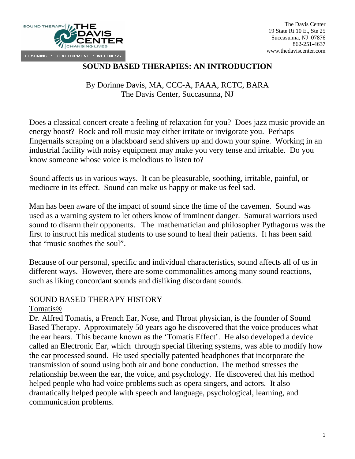

### **SOUND BASED THERAPIES: AN INTRODUCTION**

By Dorinne Davis, MA, CCC-A, FAAA, RCTC, BARA The Davis Center, Succasunna, NJ

Does a classical concert create a feeling of relaxation for you? Does jazz music provide an energy boost? Rock and roll music may either irritate or invigorate you. Perhaps fingernails scraping on a blackboard send shivers up and down your spine. Working in an industrial facility with noisy equipment may make you very tense and irritable. Do you know someone whose voice is melodious to listen to?

Sound affects us in various ways. It can be pleasurable, soothing, irritable, painful, or mediocre in its effect. Sound can make us happy or make us feel sad.

Man has been aware of the impact of sound since the time of the cavemen. Sound was used as a warning system to let others know of imminent danger. Samurai warriors used sound to disarm their opponents. The mathematician and philosopher Pythagorus was the first to instruct his medical students to use sound to heal their patients. It has been said that "music soothes the soul".

Because of our personal, specific and individual characteristics, sound affects all of us in different ways. However, there are some commonalities among many sound reactions, such as liking concordant sounds and disliking discordant sounds.

### SOUND BASED THERAPY HISTORY

#### Tomatis®

Dr. Alfred Tomatis, a French Ear, Nose, and Throat physician, is the founder of Sound Based Therapy. Approximately 50 years ago he discovered that the voice produces what the ear hears. This became known as the 'Tomatis Effect'. He also developed a device called an Electronic Ear, which through special filtering systems, was able to modify how the ear processed sound. He used specially patented headphones that incorporate the transmission of sound using both air and bone conduction. The method stresses the relationship between the ear, the voice, and psychology. He discovered that his method helped people who had voice problems such as opera singers, and actors. It also dramatically helped people with speech and language, psychological, learning, and communication problems.